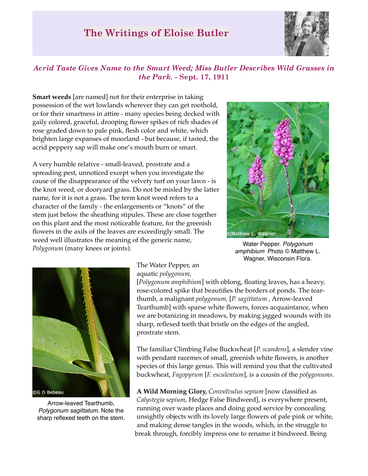## **The Writings of Eloise Butler**



## *Acrid Taste Gives Name to the Smart Weed; Miss Butler Describes Wild Grasses in the Park.* **- Sept. 17, 1911**

**Smart weeds** [are named] not for their enterprise in taking possession of the wet lowlands wherever they can get roothold, or for their smartness in attire - many species being decked with gaily colored, graceful, drooping flower spikes of rich shades of rose graded down to pale pink, flesh color and white, which brighten large expanses of moorland - but because, if tasted, the acrid peppery sap will make one's mouth burn or smart.

A very humble relative - small-leaved, prostrate and a spreading pest, unnoticed except when you investigate the cause of the disappearance of the velvety turf on your lawn - is the knot weed, or dooryard grass. Do not be misled by the latter name, for it is not a grass. The term knot weed refers to a character of the family - the enlargements or "knots" of the stem just below the sheathing stipules. These are close together on this plant and the most noticeable feature, for the greenish flowers in the axils of the leaves are exceedingly small. The weed well illustrates the meaning of the generic name, *Polygonum* (many knees or joints).



Water Pepper. *Polygonum amphibium* Photo © Matthew L. Wagner, Wisconsin Flora.



Arrow-leaved Tearthumb, *Polygonum sagittatum.* Note the sharp reflexed teeth on the stem.

The Water Pepper, an aquatic *polygonum,*

[*Polygonum amphibium*] with oblong, floating leaves, has a heavy, rose-colored spike that beautifies the borders of ponds. The tearthumb, a malignant *polygonum,* [*P. sagittatum* , Arrow-leaved Tearthumb] with sparse white flowers, forces acquaintance, when we are botanizing in meadows, by making jagged wounds with its sharp, reflexed teeth that bristle on the edges of the angled, prostrate stem.

The familiar Climbing False Buckwheat [*P. scandens*], a slender vine with pendant racemes of small, greenish white flowers, is another species of this large genus. This will remind you that the cultivated buckwheat, *Fagopyrum* [*F. esculentum*], is a cousin of the *polygonums*.

**A Wild Morning Glory,** *Convolvulus sepium* [now classified as *Calystegia sepium*, Hedge False Bindweed], is everywhere present, running over waste places and doing good service by concealing unsightly objects with its lovely large flowers of pale pink or white, and making dense tangles in the woods, which, in the struggle to break through, forcibly impress one to rename it bindweed. Being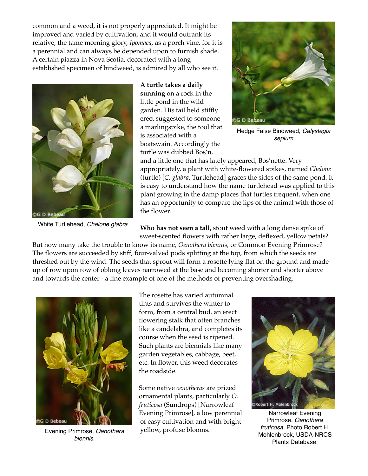common and a weed, it is not properly appreciated. It might be improved and varied by cultivation, and it would outrank its relative, the tame morning glory, *Ipomaea*, as a porch vine, for it is a perennial and can always be depended upon to furnish shade. A certain piazza in Nova Scotia, decorated with a long established specimen of bindweed, is admired by all who see it.



White Turtlehead, *Chelone glabra*

**A turtle takes a daily sunning** on a rock in the little pond in the wild garden. His tail held stiffly erect suggested to someone a marlingspike, the tool that is associated with a boatswain. Accordingly the turtle was dubbed Bos'n,



Hedge False Bindweed, *Calystegia sepium*

and a little one that has lately appeared, Bos'nette. Very appropriately, a plant with white-flowered spikes, named *Chelone* (turtle) [*C. glabra*, Turtlehead] graces the sides of the same pond. It is easy to understand how the name turtlehead was applied to this plant growing in the damp places that turtles frequent, when one has an opportunity to compare the lips of the animal with those of the flower.

**Who has not seen a tall,** stout weed with a long dense spike of sweet-scented flowers with rather large, deflexed, yellow petals?

But how many take the trouble to know its name, *Oenothera biennis*, or Common Evening Primrose? The flowers are succeeded by stiff, four-valved pods splitting at the top, from which the seeds are threshed out by the wind. The seeds that sprout will form a rosette lying flat on the ground and made up of row upon row of oblong leaves narrowed at the base and becoming shorter and shorter above and towards the center - a fine example of one of the methods of preventing overshading.



Evening Primrose, *Oenothera biennis.*

The rosette has varied autumnal tints and survives the winter to form, from a central bud, an erect flowering stalk that often branches like a candelabra, and completes its course when the seed is ripened. Such plants are biennials like many garden vegetables, cabbage, beet, etc. In flower, this weed decorates the roadside.

Some native *oenotheras* are prized ornamental plants, particularly *O. fruticosa* (Sundrops) [Narrowleaf Evening Primrose], a low perennial of easy cultivation and with bright yellow, profuse blooms.



Narrowleaf Evening Primrose, *Oenothera fruticosa.* Photo Robert H. Mohlenbrock, USDA-NRCS Plants Database.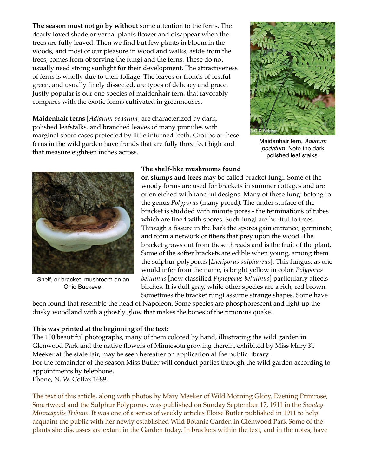**The season must not go by without** some attention to the ferns. The dearly loved shade or vernal plants flower and disappear when the trees are fully leaved. Then we find but few plants in bloom in the woods, and most of our pleasure in woodland walks, aside from the trees, comes from observing the fungi and the ferns. These do not usually need strong sunlight for their development. The attractiveness of ferns is wholly due to their foliage. The leaves or fronds of restful green, and usually finely dissected, are types of delicacy and grace. Justly popular is our one species of maidenhair fern, that favorably compares with the exotic forms cultivated in greenhouses.

**Maidenhair ferns** [*Adiatum pedatum*] are characterized by dark, polished leafstalks, and branched leaves of many pinnules with marginal spore cases protected by little inturned teeth. Groups of these ferns in the wild garden have fronds that are fully three feet high and that measure eighteen inches across.



Maidenhair fern, *Adiatum pedatum*. Note the dark polished leaf stalks.



Shelf, or bracket, mushroom on an Ohio Buckeye.

## **The shelf-like mushrooms found**

**on stumps and trees** may be called bracket fungi. Some of the woody forms are used for brackets in summer cottages and are often etched with fanciful designs. Many of these fungi belong to the genus *Polyporus* (many pored). The under surface of the bracket is studded with minute pores - the terminations of tubes which are lined with spores. Such fungi are hurtful to trees. Through a fissure in the bark the spores gain entrance, germinate, and form a network of fibers that prey upon the wood. The bracket grows out from these threads and is the fruit of the plant. Some of the softer brackets are edible when young, among them the sulphur polyporus [*Laetiporus sulphureus*]. This fungus, as one would infer from the name, is bright yellow in color. *Polyporus betulinus* [now classified *Piptoporus betulinus*] particularly affects birches. It is dull gray, while other species are a rich, red brown. Sometimes the bracket fungi assume strange shapes. Some have

been found that resemble the head of Napoleon. Some species are phosphorescent and light up the dusky woodland with a ghostly glow that makes the bones of the timorous quake.

## **This was printed at the beginning of the text:**

The 100 beautiful photographs, many of them colored by hand, illustrating the wild garden in Glenwood Park and the native flowers of Minnesota growing therein, exhibited by Miss Mary K. Meeker at the state fair, may be seen hereafter on application at the public library. For the remainder of the season Miss Butler will conduct parties through the wild garden according to appointments by telephone, Phone, N. W. Colfax 1689.

The text of this article, along with photos by Mary Meeker of Wild Morning Glory, Evening Primrose, Smartweed and the Sulphur Polyporus, was published on Sunday September 17, 1911 in the *Sunday Minneapolis Tribune*. It was one of a series of weekly articles Eloise Butler published in 1911 to help acquaint the public with her newly established Wild Botanic Garden in Glenwood Park Some of the plants she discusses are extant in the Garden today. In brackets within the text, and in the notes, have